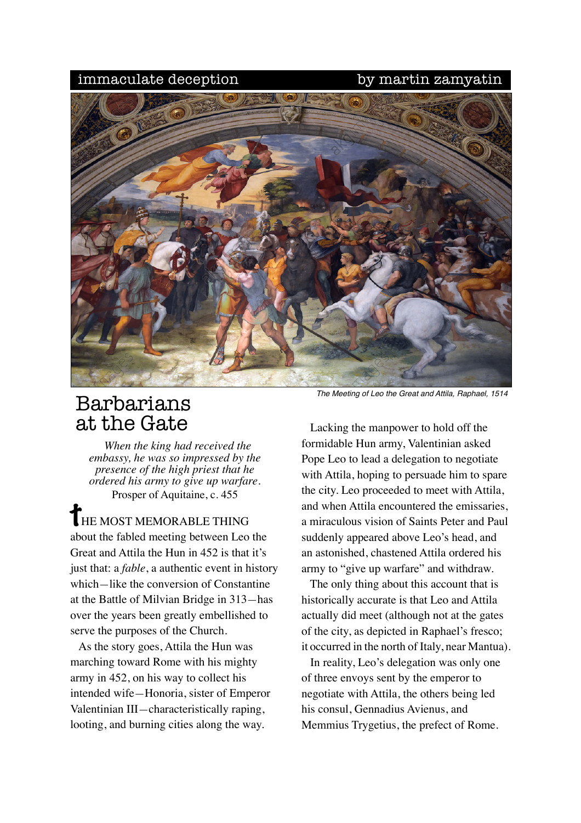## immaculate deception by martin zamyatin



## Barbarians at the Gate

*When the king had received the embassy, he was so impressed by the presence of the high priest that he ordered his army to give up warfare.* Prosper of Aquitaine, c. 455

**THE MOST MEMORABLE THING** about the fabled meeting between Leo the Great and Attila the Hun in 452 is that it's just that: a *fable*, a authentic event in history which*—*like the conversion of Constantine at the Battle of Milvian Bridge in 313*—*has over the years been greatly embellished to serve the purposes of the Church.

 As the story goes, Attila the Hun was marching toward Rome with his mighty army in 452, on his way to collect his intended wife*—*Honoria, sister of Emperor Valentinian III*—*characteristically raping, looting, and burning cities along the way.

*The Meeting of Leo the Great and Attila, Raphael, 1514*

 Lacking the manpower to hold off the formidable Hun army, Valentinian asked Pope Leo to lead a delegation to negotiate with Attila, hoping to persuade him to spare the city. Leo proceeded to meet with Attila, and when Attila encountered the emissaries, a miraculous vision of Saints Peter and Paul suddenly appeared above Leo's head, and an astonished, chastened Attila ordered his army to "give up warfare" and withdraw.

 The only thing about this account that is historically accurate is that Leo and Attila actually did meet (although not at the gates of the city, as depicted in Raphael's fresco; it occurred in the north of Italy, near Mantua).

 In reality, Leo's delegation was only one of three envoys sent by the emperor to negotiate with Attila, the others being led his consul, Gennadius Avienus, and Memmius Trygetius, the prefect of Rome.